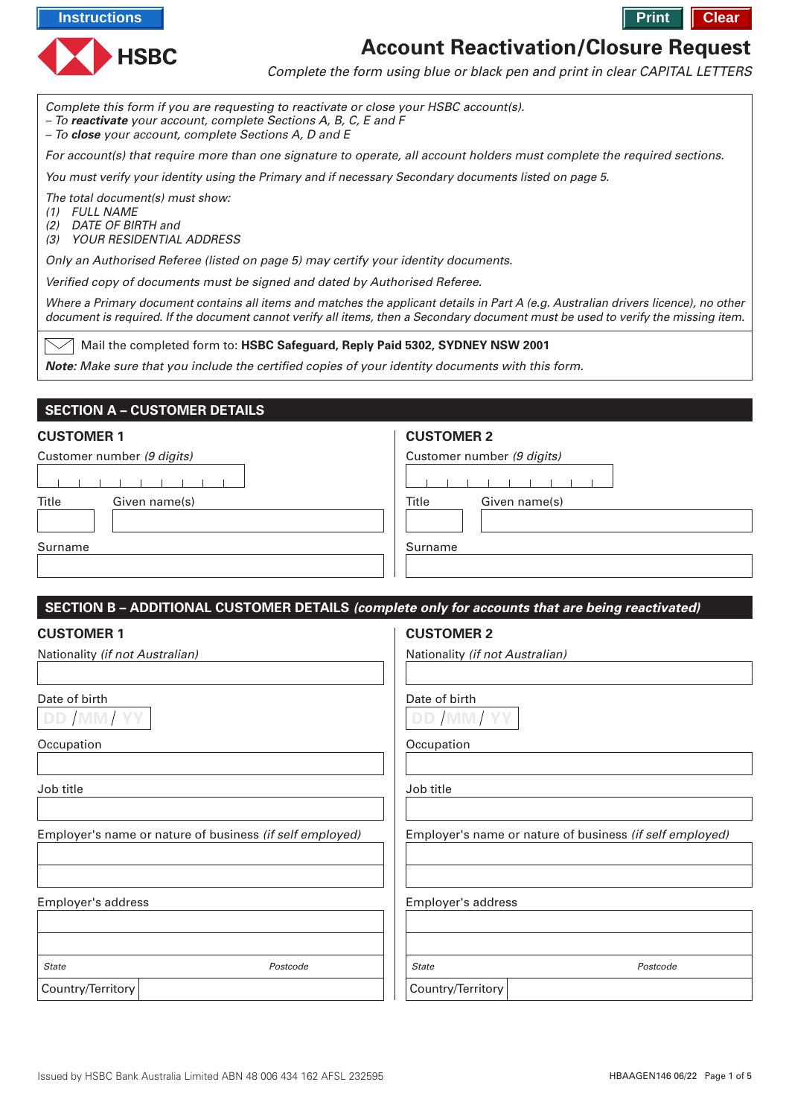



# **Account Reactivation/Closure Request**

Complete the form using blue or black pen and print in clear CAPITAL LETTERS

Complete this form if you are requesting to reactivate or close your HSBC account(s).

– To **reactivate** your account, complete Sections A, B, C, E and F

– To **close** your account, complete Sections A, D and E

For account(s) that require more than one signature to operate, all account holders must complete the required sections.

You must verify your identity using the Primary and if necessary Secondary documents listed on page 5.

The total document(s) must show:

- (1) FULL NAME
- (2) DATE OF BIRTH and
- (3) YOUR RESIDENTIAL ADDRESS

Only an Authorised Referee (listed on page 5) may certify your identity documents.

Verified copy of documents must be signed and dated by Authorised Referee.

Where a Primary document contains all items and matches the applicant details in Part A (e.g. Australian drivers licence), no other document is required. If the document cannot verify all items, then a Secondary document must be used to verify the missing item.

Mail the completed form to: **HSBC Safeguard, Reply Paid 5302, SYDNEY NSW 2001**

**Note:** Make sure that you include the certified copies of your identity documents with this form.

# **SECTION A – CUSTOMER DETAILS**

#### **CUSTOMER 1**

## **CUSTOMER 2**

| Customer number (9 digits) | Customer number (9 digits) |
|----------------------------|----------------------------|
|                            |                            |
| Title<br>Given name(s)     | Title<br>Given name(s)     |
| Surname                    | Surname                    |

## **SECTION B – ADDITIONAL CUSTOMER DETAILS (complete only for accounts that are being reactivated)**

| <b>CUSTOMER 1</b>                                        |          | <b>CUSTOMER 2</b>                                        |          |  |  |  |  |  |  |
|----------------------------------------------------------|----------|----------------------------------------------------------|----------|--|--|--|--|--|--|
| Nationality (if not Australian)                          |          | Nationality (if not Australian)                          |          |  |  |  |  |  |  |
|                                                          |          |                                                          |          |  |  |  |  |  |  |
| Date of birth                                            |          | Date of birth                                            |          |  |  |  |  |  |  |
| DD /MM/ YY                                               |          | DD /MM/ YY                                               |          |  |  |  |  |  |  |
| Occupation                                               |          | Occupation                                               |          |  |  |  |  |  |  |
|                                                          |          |                                                          |          |  |  |  |  |  |  |
| Job title                                                |          | Job title                                                |          |  |  |  |  |  |  |
|                                                          |          |                                                          |          |  |  |  |  |  |  |
| Employer's name or nature of business (if self employed) |          | Employer's name or nature of business (if self employed) |          |  |  |  |  |  |  |
|                                                          |          |                                                          |          |  |  |  |  |  |  |
|                                                          |          |                                                          |          |  |  |  |  |  |  |
| Employer's address                                       |          | Employer's address                                       |          |  |  |  |  |  |  |
|                                                          |          |                                                          |          |  |  |  |  |  |  |
|                                                          |          |                                                          |          |  |  |  |  |  |  |
| <b>State</b>                                             | Postcode | <b>State</b>                                             | Postcode |  |  |  |  |  |  |
| Country/Territory                                        |          | Country/Territory                                        |          |  |  |  |  |  |  |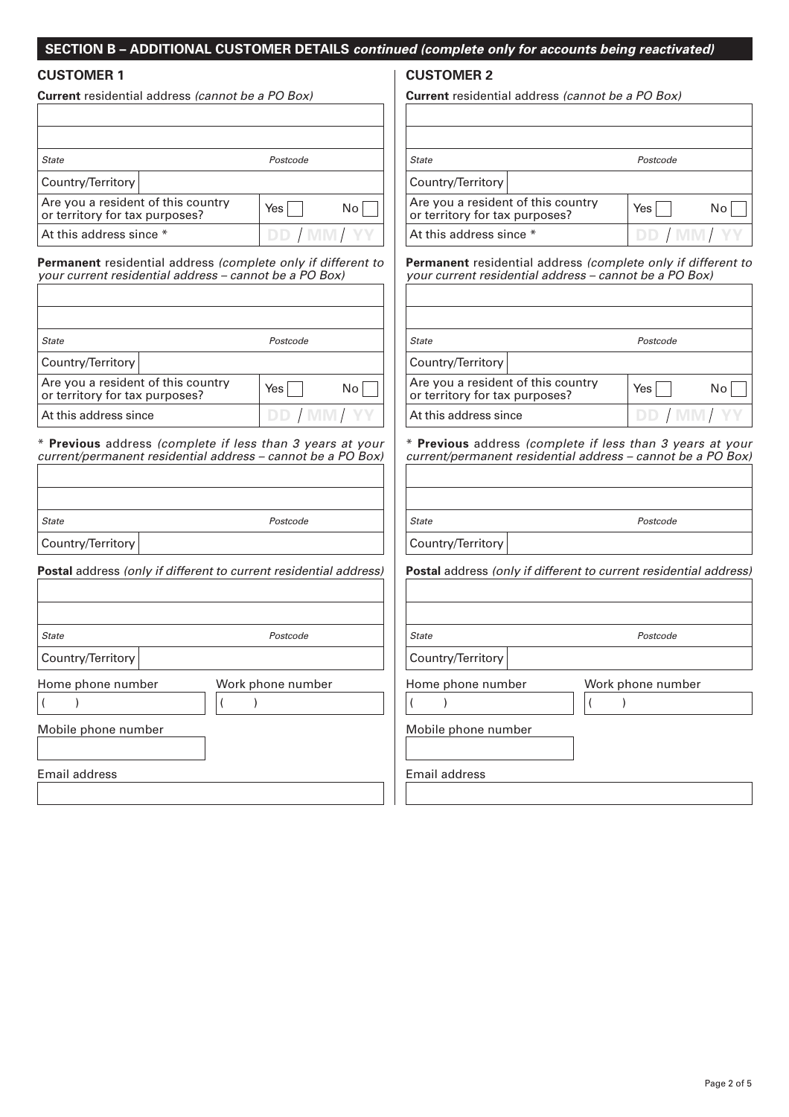# **SECTION B – ADDITIONAL CUSTOMER DETAILS continued (complete only for accounts being reactivated)**

## **CUSTOMER 1**

| <b>Current</b> residential address <i>(cannot be a PO Box)</i>       |  |             |    |  |  |  |  |  |
|----------------------------------------------------------------------|--|-------------|----|--|--|--|--|--|
|                                                                      |  |             |    |  |  |  |  |  |
| <b>State</b>                                                         |  | Postcode    |    |  |  |  |  |  |
| Country/Territory                                                    |  |             |    |  |  |  |  |  |
| Are you a resident of this country<br>or territory for tax purposes? |  | Yes l       | No |  |  |  |  |  |
| At this address since *                                              |  | DD / MM/ YY |    |  |  |  |  |  |

**Permanent** residential address (complete only if different to your current residential address – cannot be a PO Box)

| State                                                                | Postcode    |    |
|----------------------------------------------------------------------|-------------|----|
| Country/Territory                                                    |             |    |
| Are you a resident of this country<br>or territory for tax purposes? | Yes l       | No |
| At this address since                                                | DD / MM/ YY |    |

\* **Previous** address (complete if less than 3 years at your current/permanent residential address – cannot be a PO Box)

| <b>State</b>        | Postcode                                                                 | <b>State</b>          |
|---------------------|--------------------------------------------------------------------------|-----------------------|
| Country/Territory   |                                                                          | Country/Territ        |
|                     | <b>Postal</b> address (only if different to current residential address) | <b>Postal address</b> |
| <b>State</b>        | Postcode                                                                 | <b>State</b>          |
| Country/Territory   |                                                                          | Country/Territ        |
| Home phone number   | Work phone number                                                        | Home phone r          |
| Mobile phone number |                                                                          | Mobile phone          |
| Email address       |                                                                          | Email address         |

## **CUSTOMER 2**

**Current** residential address (cannot be a PO Box)

| <b>State</b>                                                         |       | Postcode     |  |
|----------------------------------------------------------------------|-------|--------------|--|
| Country/Territory                                                    |       |              |  |
| Are you a resident of this country<br>or territory for tax purposes? | Yes I | No           |  |
| At this address since *                                              |       | DD / MM / YY |  |

**Permanent** residential address (complete only if different to your current residential address – cannot be a PO Box)

| State                                                                | Postcode     |    |
|----------------------------------------------------------------------|--------------|----|
| Country/Territory                                                    |              |    |
| Are you a resident of this country<br>or territory for tax purposes? | Yes          | No |
| At this address since                                                | DD / MM / YY |    |

\* **Previous** address (complete if less than 3 years at your current/permanent residential address – cannot be a PO Box)

|                     | current/permanent residential address – cannot be a PO Box)              |
|---------------------|--------------------------------------------------------------------------|
|                     |                                                                          |
|                     |                                                                          |
| <b>State</b>        | Postcode                                                                 |
| Country/Territory   |                                                                          |
|                     | <b>Postal</b> address (only if different to current residential address) |
|                     |                                                                          |
|                     |                                                                          |
| <b>State</b>        | Postcode                                                                 |
| Country/Territory   |                                                                          |
| Home phone number   | Work phone number                                                        |
|                     |                                                                          |
| Mobile phone number |                                                                          |

Page 2 of 5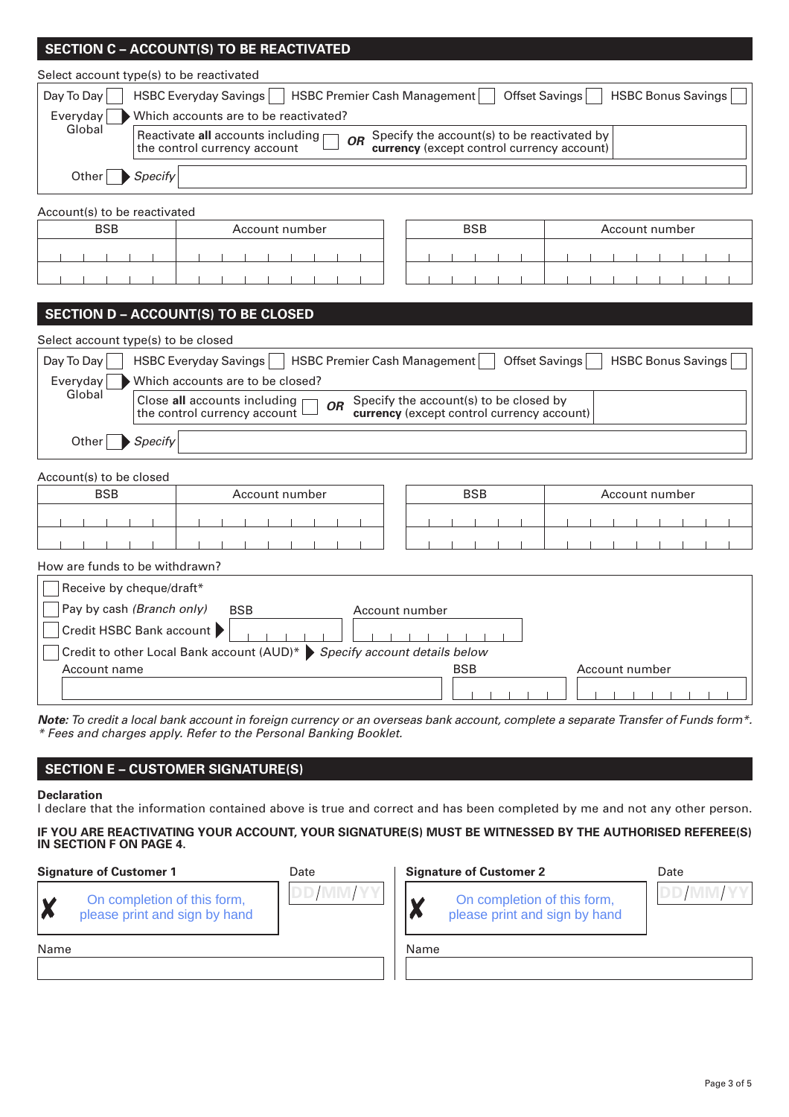# **SECTION C – ACCOUNT(S) TO BE REACTIVATED**

Select account type(s) to be reactivated

| Day To Day            | HSBC Everyday Savings     HSBC Premier Cash Management<br>HSBC Bonus Savings<br>Offset Savings                                                                                        |
|-----------------------|---------------------------------------------------------------------------------------------------------------------------------------------------------------------------------------|
| Everyday              | Which accounts are to be reactivated?                                                                                                                                                 |
| Global                | Reactivate all accounts including $\Box$<br>$\overline{O}R$ Specify the account(s) to be reactivated by<br>currency (except control currency account)<br>the control currency account |
| Other $\big $ Specify |                                                                                                                                                                                       |

## Account(s) to be reactivated

|  | <b>BSB</b> |  |  |  |  |  |  | <b>BSB</b><br>Account number |  |  |  |  |  |  |  | Account number |  |  |  |  |
|--|------------|--|--|--|--|--|--|------------------------------|--|--|--|--|--|--|--|----------------|--|--|--|--|
|  |            |  |  |  |  |  |  |                              |  |  |  |  |  |  |  |                |  |  |  |  |
|  |            |  |  |  |  |  |  |                              |  |  |  |  |  |  |  |                |  |  |  |  |

|  | <b>BSB</b> |  |  | Account number |  |  |  |
|--|------------|--|--|----------------|--|--|--|
|  |            |  |  |                |  |  |  |
|  |            |  |  |                |  |  |  |

# **SECTION D – ACCOUNT(S) TO BE CLOSED**

|               | Select account type(s) to be closed                                                                                                                                             |
|---------------|---------------------------------------------------------------------------------------------------------------------------------------------------------------------------------|
|               | Day To Day   HSBC Everyday Savings   HSBC Premier Cash Management<br>Offset Savings   HSBC Bonus Savings                                                                        |
| Everyday      | Which accounts are to be closed?                                                                                                                                                |
| Global        | Close all accounts including $\Box$<br>Specify the account(s) to be closed by<br><b>OR</b><br>the control currency account $\Box$<br>currency (except control currency account) |
| Other Specify |                                                                                                                                                                                 |

#### Account(s) to be closed

| <b>BSB</b> | Account number | <b>BSB</b> | Account number |
|------------|----------------|------------|----------------|
|            |                |            |                |
|            |                |            |                |

## How are funds to be withdrawn?

| Receive by cheque/draft*                                                                      |                |                |  |
|-----------------------------------------------------------------------------------------------|----------------|----------------|--|
| Pay by cash (Branch only)<br><b>BSB</b>                                                       | Account number |                |  |
| Credit HSBC Bank account                                                                      |                |                |  |
| Credit to other Local Bank account (AUD)* $\blacktriangleright$ Specify account details below |                |                |  |
| Account name                                                                                  | <b>BSB</b>     | Account number |  |
|                                                                                               |                |                |  |

**Note:** To credit a local bank account in foreign currency or an overseas bank account, complete a separate Transfer of Funds form\*. \* Fees and charges apply. Refer to the Personal Banking Booklet.

## **SECTION E – CUSTOMER SIGNATURE(S)**

On completion of this form, please print and sign by hand

#### **Declaration**

I declare that the information contained above is true and correct and has been completed by me and not any other person.

#### **IF YOU ARE REACTIVATING YOUR ACCOUNT, YOUR SIGNATURE(S) MUST BE WITNESSED BY THE AUTHORISED REFEREE(S) IN SECTION F ON PAGE 4.**

#### **Signature of Customer 1** Date



#### Name

X

On completion of this form,

please print and sign by hand

**Signature of Customer 2** 

| Date |
|------|
|      |
|      |

Name

X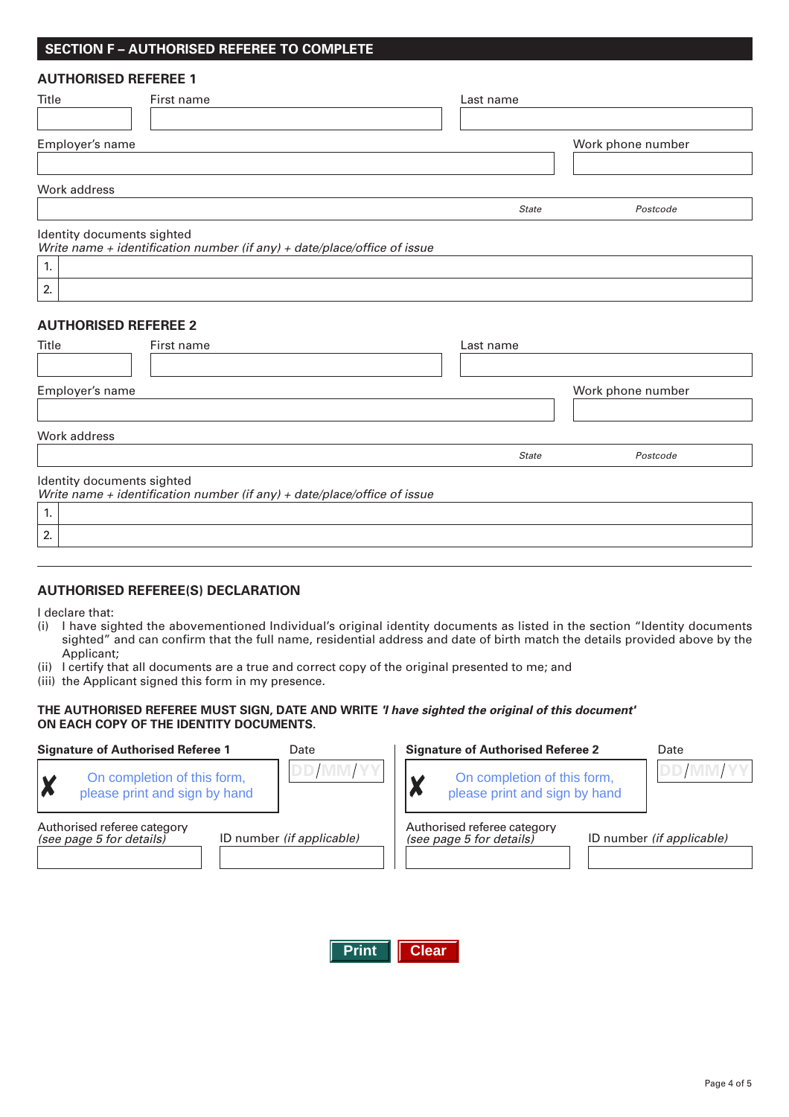## **SECTION F – AUTHORISED REFEREE TO COMPLETE**

#### **AUTHORISED REFEREE 1**

| Title           | First name                                                                                             | Last name    |                   |
|-----------------|--------------------------------------------------------------------------------------------------------|--------------|-------------------|
| Employer's name |                                                                                                        |              | Work phone number |
| Work address    |                                                                                                        |              |                   |
|                 |                                                                                                        | <b>State</b> | Postcode          |
|                 | Identity documents sighted<br>Write name + identification number (if any) + date/place/office of issue |              |                   |
| 1.              |                                                                                                        |              |                   |
| 2.              |                                                                                                        |              |                   |

## **AUTHORISED REFEREE 2**

| Title                      | First name                                                               | Last name    |                   |
|----------------------------|--------------------------------------------------------------------------|--------------|-------------------|
| Employer's name            |                                                                          |              | Work phone number |
| Work address               |                                                                          |              |                   |
|                            |                                                                          | <b>State</b> | Postcode          |
| Identity documents sighted | Write name + identification number (if any) + date/place/office of issue |              |                   |
| 1.                         |                                                                          |              |                   |
| 2.                         |                                                                          |              |                   |

## **AUTHORISED REFEREE(S) DECLARATION**

I declare that:

- (i) I have sighted the abovementioned Individual's original identity documents as listed in the section "Identity documents sighted" and can confirm that the full name, residential address and date of birth match the details provided above by the Applicant;
- (ii) I certify that all documents are a true and correct copy of the original presented to me; and
- (iii) the Applicant signed this form in my presence.

## **THE AUTHORISED REFEREE MUST SIGN, DATE AND WRITE 'I have sighted the original of this document' ON EACH COPY OF THE IDENTITY DOCUMENTS.**

| <b>Signature of Authorised Referee 1</b>                                 | Date                      | <b>Signature of Authorised Referee 2</b> |                                                              | Date                             |
|--------------------------------------------------------------------------|---------------------------|------------------------------------------|--------------------------------------------------------------|----------------------------------|
| On completion of this form,<br><b>X</b><br>please print and sign by hand |                           |                                          | On completion of this form,<br>please print and sign by hand | DD/MM/Y                          |
| Authorised referee category<br>(see page 5 for details)                  | ID number (if applicable) |                                          | Authorised referee category<br>(see page 5 for details)      | ID number <i>(if applicable)</i> |